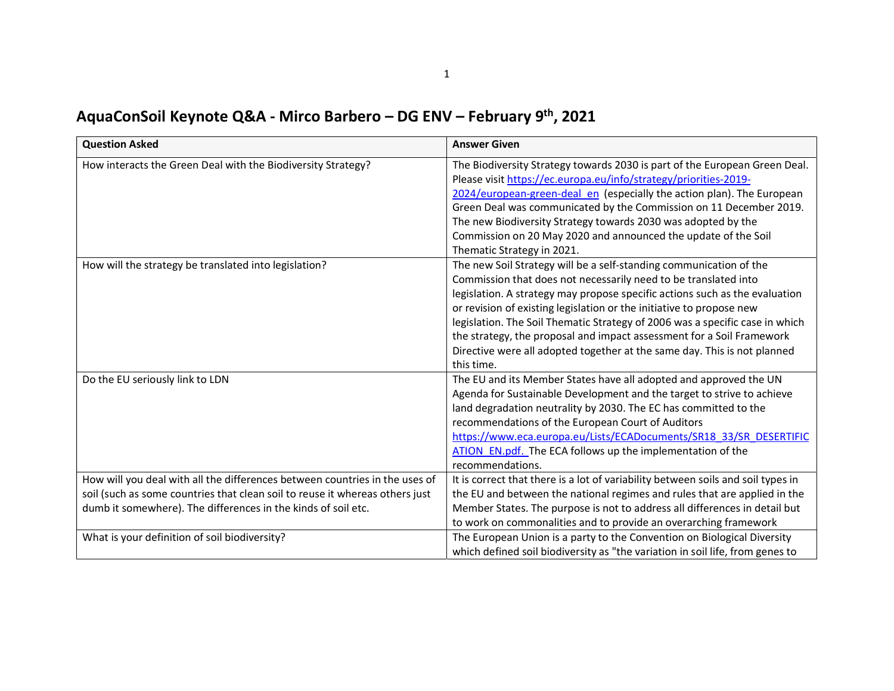| AquaConSoil Keynote Q&A - Mirco Barbero - DG ENV - February 9th, 2021 |  |
|-----------------------------------------------------------------------|--|
|-----------------------------------------------------------------------|--|

| <b>Question Asked</b>                                                        | <b>Answer Given</b>                                                              |
|------------------------------------------------------------------------------|----------------------------------------------------------------------------------|
| How interacts the Green Deal with the Biodiversity Strategy?                 | The Biodiversity Strategy towards 2030 is part of the European Green Deal.       |
|                                                                              | Please visit https://ec.europa.eu/info/strategy/priorities-2019-                 |
|                                                                              | 2024/european-green-deal en (especially the action plan). The European           |
|                                                                              | Green Deal was communicated by the Commission on 11 December 2019.               |
|                                                                              | The new Biodiversity Strategy towards 2030 was adopted by the                    |
|                                                                              | Commission on 20 May 2020 and announced the update of the Soil                   |
|                                                                              | Thematic Strategy in 2021.                                                       |
| How will the strategy be translated into legislation?                        | The new Soil Strategy will be a self-standing communication of the               |
|                                                                              | Commission that does not necessarily need to be translated into                  |
|                                                                              | legislation. A strategy may propose specific actions such as the evaluation      |
|                                                                              | or revision of existing legislation or the initiative to propose new             |
|                                                                              | legislation. The Soil Thematic Strategy of 2006 was a specific case in which     |
|                                                                              | the strategy, the proposal and impact assessment for a Soil Framework            |
|                                                                              | Directive were all adopted together at the same day. This is not planned         |
|                                                                              | this time.                                                                       |
| Do the EU seriously link to LDN                                              | The EU and its Member States have all adopted and approved the UN                |
|                                                                              | Agenda for Sustainable Development and the target to strive to achieve           |
|                                                                              | land degradation neutrality by 2030. The EC has committed to the                 |
|                                                                              | recommendations of the European Court of Auditors                                |
|                                                                              | https://www.eca.europa.eu/Lists/ECADocuments/SR18 33/SR DESERTIFIC               |
|                                                                              | ATION EN.pdf. The ECA follows up the implementation of the                       |
|                                                                              | recommendations.                                                                 |
| How will you deal with all the differences between countries in the uses of  | It is correct that there is a lot of variability between soils and soil types in |
| soil (such as some countries that clean soil to reuse it whereas others just | the EU and between the national regimes and rules that are applied in the        |
| dumb it somewhere). The differences in the kinds of soil etc.                | Member States. The purpose is not to address all differences in detail but       |
|                                                                              | to work on commonalities and to provide an overarching framework                 |
| What is your definition of soil biodiversity?                                | The European Union is a party to the Convention on Biological Diversity          |
|                                                                              | which defined soil biodiversity as "the variation in soil life, from genes to    |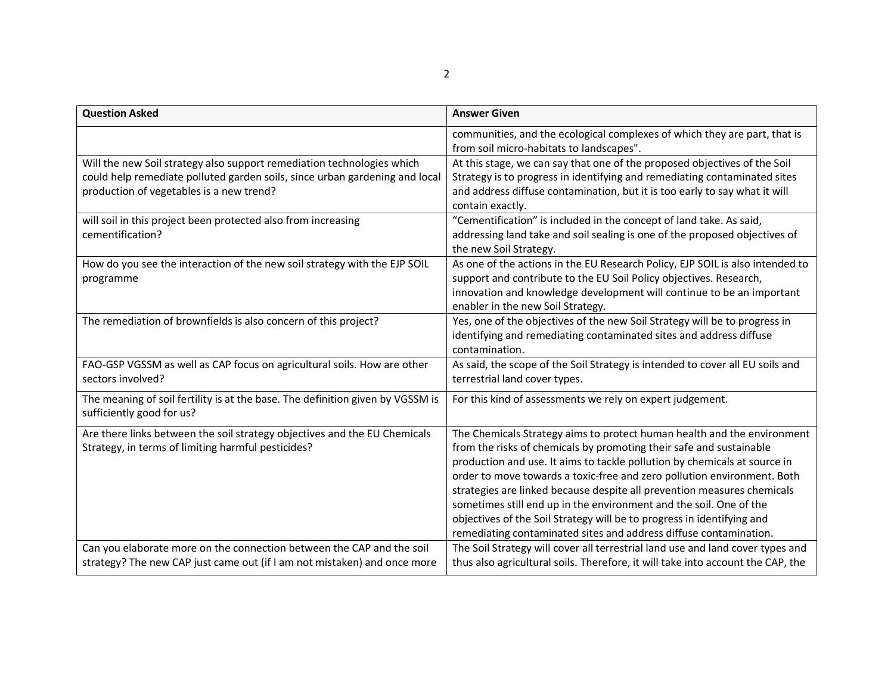| <b>Question Asked</b>                                                                                                                                                                             | <b>Answer Given</b>                                                                                                                                                                                                                                                                                                                                                                                                                                                                                                                                                                                    |
|---------------------------------------------------------------------------------------------------------------------------------------------------------------------------------------------------|--------------------------------------------------------------------------------------------------------------------------------------------------------------------------------------------------------------------------------------------------------------------------------------------------------------------------------------------------------------------------------------------------------------------------------------------------------------------------------------------------------------------------------------------------------------------------------------------------------|
|                                                                                                                                                                                                   | communities, and the ecological complexes of which they are part, that is<br>from soil micro-habitats to landscapes".                                                                                                                                                                                                                                                                                                                                                                                                                                                                                  |
| Will the new Soil strategy also support remediation technologies which<br>could help remediate polluted garden soils, since urban gardening and local<br>production of vegetables is a new trend? | At this stage, we can say that one of the proposed objectives of the Soil<br>Strategy is to progress in identifying and remediating contaminated sites<br>and address diffuse contamination, but it is too early to say what it will<br>contain exactly.                                                                                                                                                                                                                                                                                                                                               |
| will soil in this project been protected also from increasing<br>cementification?                                                                                                                 | "Cementification" is included in the concept of land take. As said,<br>addressing land take and soil sealing is one of the proposed objectives of<br>the new Soil Strategy.                                                                                                                                                                                                                                                                                                                                                                                                                            |
| How do you see the interaction of the new soil strategy with the EJP SOIL<br>programme                                                                                                            | As one of the actions in the EU Research Policy, EJP SOIL is also intended to<br>support and contribute to the EU Soil Policy objectives. Research,<br>innovation and knowledge development will continue to be an important<br>enabler in the new Soil Strategy.                                                                                                                                                                                                                                                                                                                                      |
| The remediation of brownfields is also concern of this project?                                                                                                                                   | Yes, one of the objectives of the new Soil Strategy will be to progress in<br>identifying and remediating contaminated sites and address diffuse<br>contamination.                                                                                                                                                                                                                                                                                                                                                                                                                                     |
| FAO-GSP VGSSM as well as CAP focus on agricultural soils. How are other<br>sectors involved?                                                                                                      | As said, the scope of the Soil Strategy is intended to cover all EU soils and<br>terrestrial land cover types.                                                                                                                                                                                                                                                                                                                                                                                                                                                                                         |
| The meaning of soil fertility is at the base. The definition given by VGSSM is<br>sufficiently good for us?                                                                                       | For this kind of assessments we rely on expert judgement.                                                                                                                                                                                                                                                                                                                                                                                                                                                                                                                                              |
| Are there links between the soil strategy objectives and the EU Chemicals<br>Strategy, in terms of limiting harmful pesticides?                                                                   | The Chemicals Strategy aims to protect human health and the environment<br>from the risks of chemicals by promoting their safe and sustainable<br>production and use. It aims to tackle pollution by chemicals at source in<br>order to move towards a toxic-free and zero pollution environment. Both<br>strategies are linked because despite all prevention measures chemicals<br>sometimes still end up in the environment and the soil. One of the<br>objectives of the Soil Strategy will be to progress in identifying and<br>remediating contaminated sites and address diffuse contamination. |
| Can you elaborate more on the connection between the CAP and the soil<br>strategy? The new CAP just came out (if I am not mistaken) and once more                                                 | The Soil Strategy will cover all terrestrial land use and land cover types and<br>thus also agricultural soils. Therefore, it will take into account the CAP, the                                                                                                                                                                                                                                                                                                                                                                                                                                      |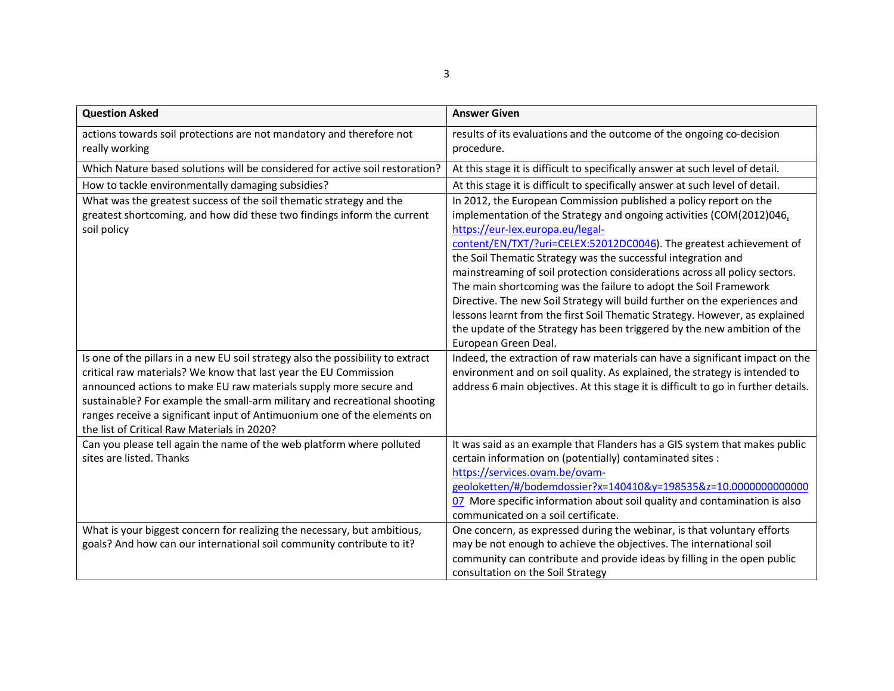| <b>Question Asked</b>                                                                                                                                                                                                                                                                                                                                                                                                                                                                                                                              | <b>Answer Given</b>                                                                                                                                                                                                                                                                                                                                                                                                                                                                                                                                                                                                                                                                                                                                                                                                                                                                                                                                                                          |
|----------------------------------------------------------------------------------------------------------------------------------------------------------------------------------------------------------------------------------------------------------------------------------------------------------------------------------------------------------------------------------------------------------------------------------------------------------------------------------------------------------------------------------------------------|----------------------------------------------------------------------------------------------------------------------------------------------------------------------------------------------------------------------------------------------------------------------------------------------------------------------------------------------------------------------------------------------------------------------------------------------------------------------------------------------------------------------------------------------------------------------------------------------------------------------------------------------------------------------------------------------------------------------------------------------------------------------------------------------------------------------------------------------------------------------------------------------------------------------------------------------------------------------------------------------|
| actions towards soil protections are not mandatory and therefore not<br>really working                                                                                                                                                                                                                                                                                                                                                                                                                                                             | results of its evaluations and the outcome of the ongoing co-decision<br>procedure.                                                                                                                                                                                                                                                                                                                                                                                                                                                                                                                                                                                                                                                                                                                                                                                                                                                                                                          |
| Which Nature based solutions will be considered for active soil restoration?                                                                                                                                                                                                                                                                                                                                                                                                                                                                       | At this stage it is difficult to specifically answer at such level of detail.                                                                                                                                                                                                                                                                                                                                                                                                                                                                                                                                                                                                                                                                                                                                                                                                                                                                                                                |
| How to tackle environmentally damaging subsidies?                                                                                                                                                                                                                                                                                                                                                                                                                                                                                                  | At this stage it is difficult to specifically answer at such level of detail.                                                                                                                                                                                                                                                                                                                                                                                                                                                                                                                                                                                                                                                                                                                                                                                                                                                                                                                |
| What was the greatest success of the soil thematic strategy and the<br>greatest shortcoming, and how did these two findings inform the current<br>soil policy<br>Is one of the pillars in a new EU soil strategy also the possibility to extract<br>critical raw materials? We know that last year the EU Commission<br>announced actions to make EU raw materials supply more secure and<br>sustainable? For example the small-arm military and recreational shooting<br>ranges receive a significant input of Antimuonium one of the elements on | In 2012, the European Commission published a policy report on the<br>implementation of the Strategy and ongoing activities (COM(2012)046,<br>https://eur-lex.europa.eu/legal-<br>content/EN/TXT/?uri=CELEX:52012DC0046). The greatest achievement of<br>the Soil Thematic Strategy was the successful integration and<br>mainstreaming of soil protection considerations across all policy sectors.<br>The main shortcoming was the failure to adopt the Soil Framework<br>Directive. The new Soil Strategy will build further on the experiences and<br>lessons learnt from the first Soil Thematic Strategy. However, as explained<br>the update of the Strategy has been triggered by the new ambition of the<br>European Green Deal.<br>Indeed, the extraction of raw materials can have a significant impact on the<br>environment and on soil quality. As explained, the strategy is intended to<br>address 6 main objectives. At this stage it is difficult to go in further details. |
| the list of Critical Raw Materials in 2020?                                                                                                                                                                                                                                                                                                                                                                                                                                                                                                        |                                                                                                                                                                                                                                                                                                                                                                                                                                                                                                                                                                                                                                                                                                                                                                                                                                                                                                                                                                                              |
| Can you please tell again the name of the web platform where polluted<br>sites are listed. Thanks                                                                                                                                                                                                                                                                                                                                                                                                                                                  | It was said as an example that Flanders has a GIS system that makes public<br>certain information on (potentially) contaminated sites :<br>https://services.ovam.be/ovam-<br>geoloketten/#/bodemdossier?x=140410&y=198535&z=10.0000000000000<br>07 More specific information about soil quality and contamination is also<br>communicated on a soil certificate.                                                                                                                                                                                                                                                                                                                                                                                                                                                                                                                                                                                                                             |
| What is your biggest concern for realizing the necessary, but ambitious,<br>goals? And how can our international soil community contribute to it?                                                                                                                                                                                                                                                                                                                                                                                                  | One concern, as expressed during the webinar, is that voluntary efforts<br>may be not enough to achieve the objectives. The international soil<br>community can contribute and provide ideas by filling in the open public<br>consultation on the Soil Strategy                                                                                                                                                                                                                                                                                                                                                                                                                                                                                                                                                                                                                                                                                                                              |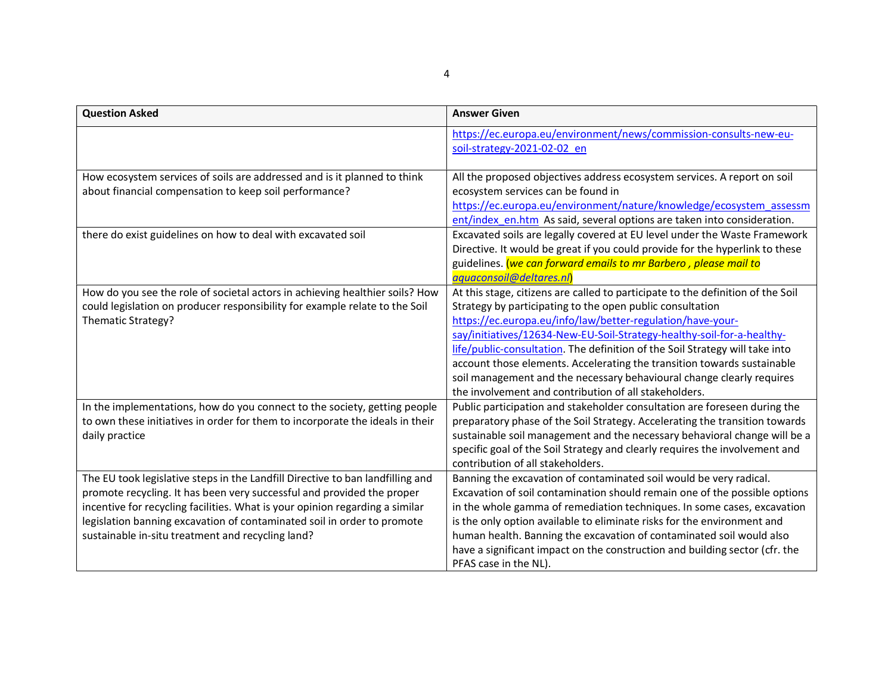| <b>Question Asked</b>                                                                                                                                                                                                                                                                                                                                                    | <b>Answer Given</b>                                                                                                                                                                                                                                                                                                                                                                                                                                                                                                                                                               |
|--------------------------------------------------------------------------------------------------------------------------------------------------------------------------------------------------------------------------------------------------------------------------------------------------------------------------------------------------------------------------|-----------------------------------------------------------------------------------------------------------------------------------------------------------------------------------------------------------------------------------------------------------------------------------------------------------------------------------------------------------------------------------------------------------------------------------------------------------------------------------------------------------------------------------------------------------------------------------|
|                                                                                                                                                                                                                                                                                                                                                                          | https://ec.europa.eu/environment/news/commission-consults-new-eu-<br>soil-strategy-2021-02-02 en                                                                                                                                                                                                                                                                                                                                                                                                                                                                                  |
| How ecosystem services of soils are addressed and is it planned to think<br>about financial compensation to keep soil performance?                                                                                                                                                                                                                                       | All the proposed objectives address ecosystem services. A report on soil<br>ecosystem services can be found in<br>https://ec.europa.eu/environment/nature/knowledge/ecosystem assessm<br>ent/index en.htm As said, several options are taken into consideration.                                                                                                                                                                                                                                                                                                                  |
| there do exist guidelines on how to deal with excavated soil                                                                                                                                                                                                                                                                                                             | Excavated soils are legally covered at EU level under the Waste Framework<br>Directive. It would be great if you could provide for the hyperlink to these<br>guidelines. (we can forward emails to mr Barbero, please mail to<br>aquaconsoil@deltares.nl)                                                                                                                                                                                                                                                                                                                         |
| How do you see the role of societal actors in achieving healthier soils? How<br>could legislation on producer responsibility for example relate to the Soil<br>Thematic Strategy?                                                                                                                                                                                        | At this stage, citizens are called to participate to the definition of the Soil<br>Strategy by participating to the open public consultation<br>https://ec.europa.eu/info/law/better-regulation/have-your-<br>say/initiatives/12634-New-EU-Soil-Strategy-healthy-soil-for-a-healthy-<br>life/public-consultation. The definition of the Soil Strategy will take into<br>account those elements. Accelerating the transition towards sustainable<br>soil management and the necessary behavioural change clearly requires<br>the involvement and contribution of all stakeholders. |
| In the implementations, how do you connect to the society, getting people<br>to own these initiatives in order for them to incorporate the ideals in their<br>daily practice                                                                                                                                                                                             | Public participation and stakeholder consultation are foreseen during the<br>preparatory phase of the Soil Strategy. Accelerating the transition towards<br>sustainable soil management and the necessary behavioral change will be a<br>specific goal of the Soil Strategy and clearly requires the involvement and<br>contribution of all stakeholders.                                                                                                                                                                                                                         |
| The EU took legislative steps in the Landfill Directive to ban landfilling and<br>promote recycling. It has been very successful and provided the proper<br>incentive for recycling facilities. What is your opinion regarding a similar<br>legislation banning excavation of contaminated soil in order to promote<br>sustainable in-situ treatment and recycling land? | Banning the excavation of contaminated soil would be very radical.<br>Excavation of soil contamination should remain one of the possible options<br>in the whole gamma of remediation techniques. In some cases, excavation<br>is the only option available to eliminate risks for the environment and<br>human health. Banning the excavation of contaminated soil would also<br>have a significant impact on the construction and building sector (cfr. the<br>PFAS case in the NL).                                                                                            |